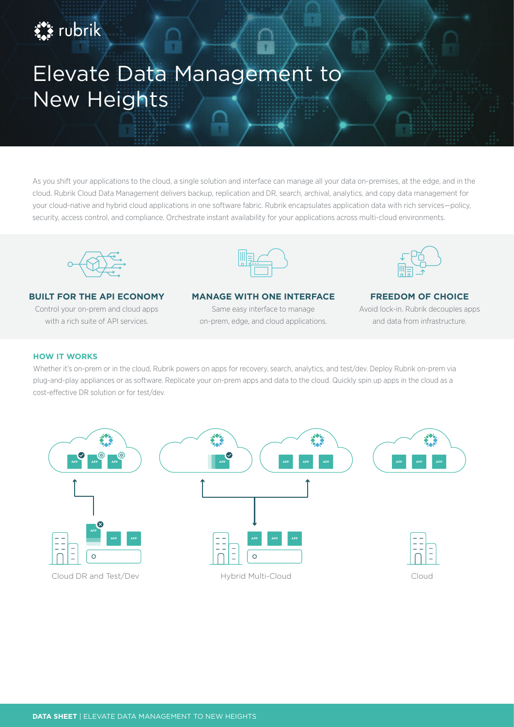# Elevate Data Management to New Heights

As you shift your applications to the cloud, a single solution and interface can manage all your data on-premises, at the edge, and in the cloud. Rubrik Cloud Data Management delivers backup, replication and DR, search, archival, analytics, and copy data management for your cloud-native and hybrid cloud applications in one software fabric. Rubrik encapsulates application data with rich services—policy, security, access control, and compliance. Orchestrate instant availability for your applications across multi-cloud environments.



# **BUILT FOR THE API ECONOMY**

Control your on-prem and cloud apps with a rich suite of API services.



#### **MANAGE WITH ONE INTERFACE**

Same easy interface to manage on-prem, edge, and cloud applications.



# **FREEDOM OF CHOICE**

Avoid lock-in. Rubrik decouples apps and data from infrastructure.

#### **HOW IT WORKS**

**Ext** rubrik

Whether it's on-prem or in the cloud, Rubrik powers on apps for recovery, search, analytics, and test/dev. Deploy Rubrik on-prem via plug-and-play appliances or as software. Replicate your on-prem apps and data to the cloud. Quickly spin up apps in the cloud as a cost-effective DR solution or for test/dev.